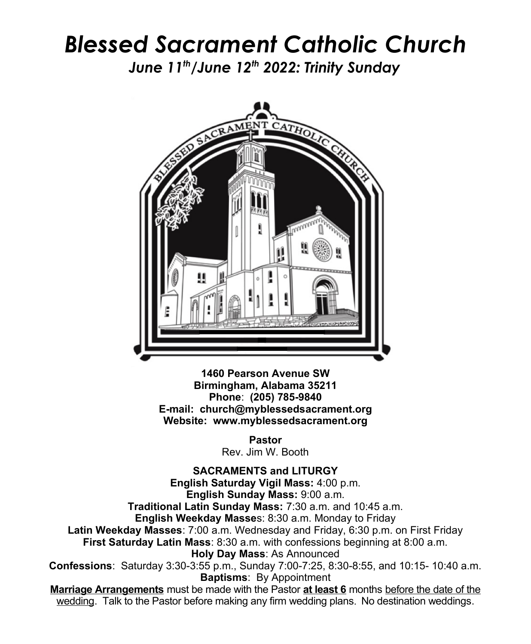## *Blessed Sacrament Catholic Church*

*June 11th/June 12th 2022: Trinity Sunday*



**1460 Pearson Avenue SW Birmingham, Alabama 35211 Phone**: **(205) 785-9840 E-mail: church@myblessedsacrament.org Website: www.myblessedsacrament.org**

> **Pastor** Rev. Jim W. Booth

**SACRAMENTS and LITURGY English Saturday Vigil Mass:** 4:00 p.m. **English Sunday Mass:** 9:00 a.m. **Traditional Latin Sunday Mass:** 7:30 a.m. and 10:45 a.m. **English Weekday Masse**s: 8:30 a.m. Monday to Friday **Latin Weekday Masses**: 7:00 a.m. Wednesday and Friday, 6:30 p.m. on First Friday **First Saturday Latin Mass**: 8:30 a.m. with confessions beginning at 8:00 a.m. **Holy Day Mass**: As Announced **Confessions**: Saturday 3:30-3:55 p.m., Sunday 7:00-7:25, 8:30-8:55, and 10:15- 10:40 a.m. **Baptisms**: By Appointment **Marriage Arrangements** must be made with the Pastor **at least 6** months before the date of the wedding. Talk to the Pastor before making any firm wedding plans. No destination weddings.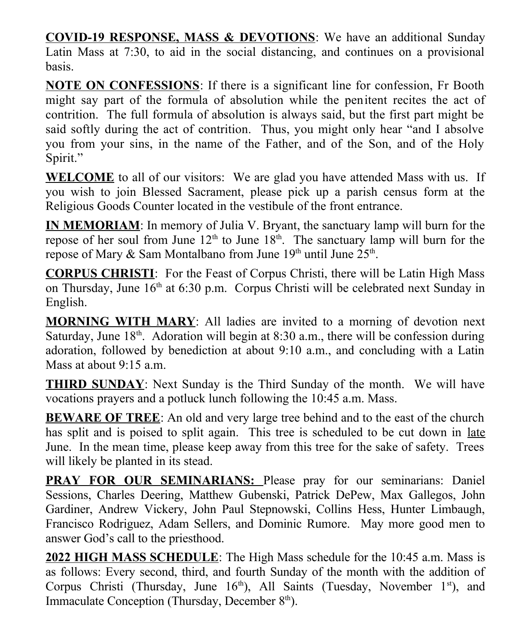**COVID-19 RESPONSE, MASS & DEVOTIONS**: We have an additional Sunday Latin Mass at 7:30, to aid in the social distancing, and continues on a provisional basis.

**NOTE ON CONFESSIONS**: If there is a significant line for confession, Fr Booth might say part of the formula of absolution while the penitent recites the act of contrition. The full formula of absolution is always said, but the first part might be said softly during the act of contrition. Thus, you might only hear "and I absolve you from your sins, in the name of the Father, and of the Son, and of the Holy Spirit."

**WELCOME** to all of our visitors: We are glad you have attended Mass with us. If you wish to join Blessed Sacrament, please pick up a parish census form at the Religious Goods Counter located in the vestibule of the front entrance.

**IN MEMORIAM**: In memory of Julia V. Bryant, the sanctuary lamp will burn for the repose of her soul from June  $12<sup>th</sup>$  to June  $18<sup>th</sup>$ . The sanctuary lamp will burn for the repose of Mary & Sam Montalbano from June  $19<sup>th</sup>$  until June  $25<sup>th</sup>$ .

**CORPUS CHRISTI**: For the Feast of Corpus Christi, there will be Latin High Mass on Thursday, June  $16<sup>th</sup>$  at 6:30 p.m. Corpus Christi will be celebrated next Sunday in English.

**MORNING WITH MARY**: All ladies are invited to a morning of devotion next Saturday, June  $18<sup>th</sup>$ . Adoration will begin at 8:30 a.m., there will be confession during adoration, followed by benediction at about 9:10 a.m., and concluding with a Latin Mass at about 9:15 a.m.

**THIRD SUNDAY**: Next Sunday is the Third Sunday of the month. We will have vocations prayers and a potluck lunch following the 10:45 a.m. Mass.

**BEWARE OF TREE**: An old and very large tree behind and to the east of the church has split and is poised to split again. This tree is scheduled to be cut down in late June. In the mean time, please keep away from this tree for the sake of safety. Trees will likely be planted in its stead.

**PRAY FOR OUR SEMINARIANS:** Please pray for our seminarians: Daniel Sessions, Charles Deering, Matthew Gubenski, Patrick DePew, Max Gallegos, John Gardiner, Andrew Vickery, John Paul Stepnowski, Collins Hess, Hunter Limbaugh, Francisco Rodriguez, Adam Sellers, and Dominic Rumore. May more good men to answer God's call to the priesthood.

**2022 HIGH MASS SCHEDULE**: The High Mass schedule for the 10:45 a.m. Mass is as follows: Every second, third, and fourth Sunday of the month with the addition of Corpus Christi (Thursday, June  $16<sup>th</sup>$ ), All Saints (Tuesday, November  $1<sup>st</sup>$ ), and Immaculate Conception (Thursday, December  $8<sup>th</sup>$ ).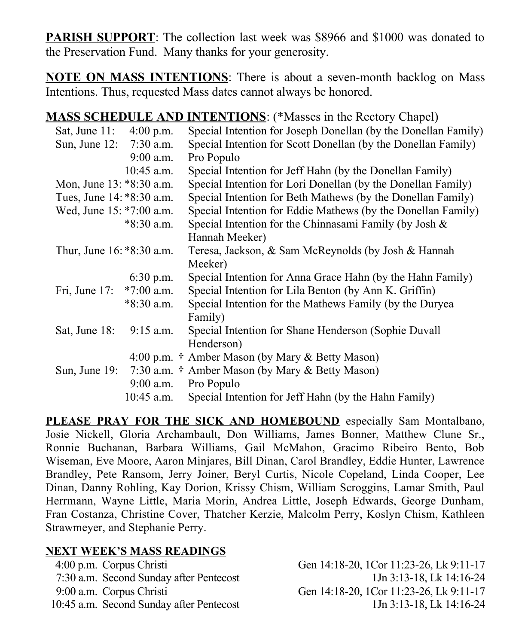**PARISH SUPPORT**: The collection last week was \$8966 and \$1000 was donated to the Preservation Fund. Many thanks for your generosity.

**NOTE ON MASS INTENTIONS**: There is about a seven-month backlog on Mass Intentions. Thus, requested Mass dates cannot always be honored.

**MASS SCHEDULE AND INTENTIONS**: (\*Masses in the Rectory Chapel)

| Sat, June 11: 4:00 p.m.   |              | Special Intention for Joseph Donellan (by the Donellan Family)  |
|---------------------------|--------------|-----------------------------------------------------------------|
| Sun, June 12: 7:30 a.m.   |              | Special Intention for Scott Donellan (by the Donellan Family)   |
|                           | $9:00$ a.m.  | Pro Populo                                                      |
|                           | $10:45$ a.m. | Special Intention for Jeff Hahn (by the Donellan Family)        |
| Mon, June 13: *8:30 a.m.  |              | Special Intention for Lori Donellan (by the Donellan Family)    |
| Tues, June 14: *8:30 a.m. |              | Special Intention for Beth Mathews (by the Donellan Family)     |
| Wed, June 15: *7:00 a.m.  |              | Special Intention for Eddie Mathews (by the Donellan Family)    |
|                           | $*8:30$ a.m. | Special Intention for the Chinnasami Family (by Josh &          |
|                           |              | Hannah Meeker)                                                  |
| Thur, June 16: *8:30 a.m. |              | Teresa, Jackson, & Sam McReynolds (by Josh & Hannah             |
|                           |              | Meeker)                                                         |
|                           | $6:30$ p.m.  | Special Intention for Anna Grace Hahn (by the Hahn Family)      |
| Fri, June $17$ :          | $*7:00$ a.m. | Special Intention for Lila Benton (by Ann K. Griffin)           |
|                           | $*8:30$ a.m. | Special Intention for the Mathews Family (by the Duryea         |
|                           |              | Family)                                                         |
| Sat, June 18:             | $9:15$ a.m.  | Special Intention for Shane Henderson (Sophie Duvall            |
|                           |              | Henderson)                                                      |
|                           |              | 4:00 p.m. † Amber Mason (by Mary & Betty Mason)                 |
|                           |              | Sun, June 19: $7:30$ a.m. † Amber Mason (by Mary & Betty Mason) |
|                           | $9:00$ a.m.  | Pro Populo                                                      |
|                           | $10:45$ a.m. | Special Intention for Jeff Hahn (by the Hahn Family)            |

**PLEASE PRAY FOR THE SICK AND HOMEBOUND** especially Sam Montalbano, Josie Nickell, Gloria Archambault, Don Williams, James Bonner, Matthew Clune Sr., Ronnie Buchanan, Barbara Williams, Gail McMahon, Gracimo Ribeiro Bento, Bob Wiseman, Eve Moore, Aaron Minjares, Bill Dinan, Carol Brandley, Eddie Hunter, Lawrence Brandley, Pete Ransom, Jerry Joiner, Beryl Curtis, Nicole Copeland, Linda Cooper, Lee Dinan, Danny Rohling, Kay Dorion, Krissy Chism, William Scroggins, Lamar Smith, Paul Herrmann, Wayne Little, Maria Morin, Andrea Little, Joseph Edwards, George Dunham, Fran Costanza, Christine Cover, Thatcher Kerzie, Malcolm Perry, Koslyn Chism, Kathleen Strawmeyer, and Stephanie Perry.

## **NEXT WEEK'S MASS READINGS**

7:30 a.m. Second Sunday after Pentecost 1Jn 3:13-18, Lk 14:16-24 9:00 a.m. Corpus Christi Gen 14:18-20, 1Cor 11:23-26, Lk 9:11-17

4:00 p.m. Corpus Christi Gen 14:18-20, 1Cor 11:23-26, Lk 9:11-17 10:45 a.m. Second Sunday after Pentecost 1Jn 3:13-18, Lk 14:16-24